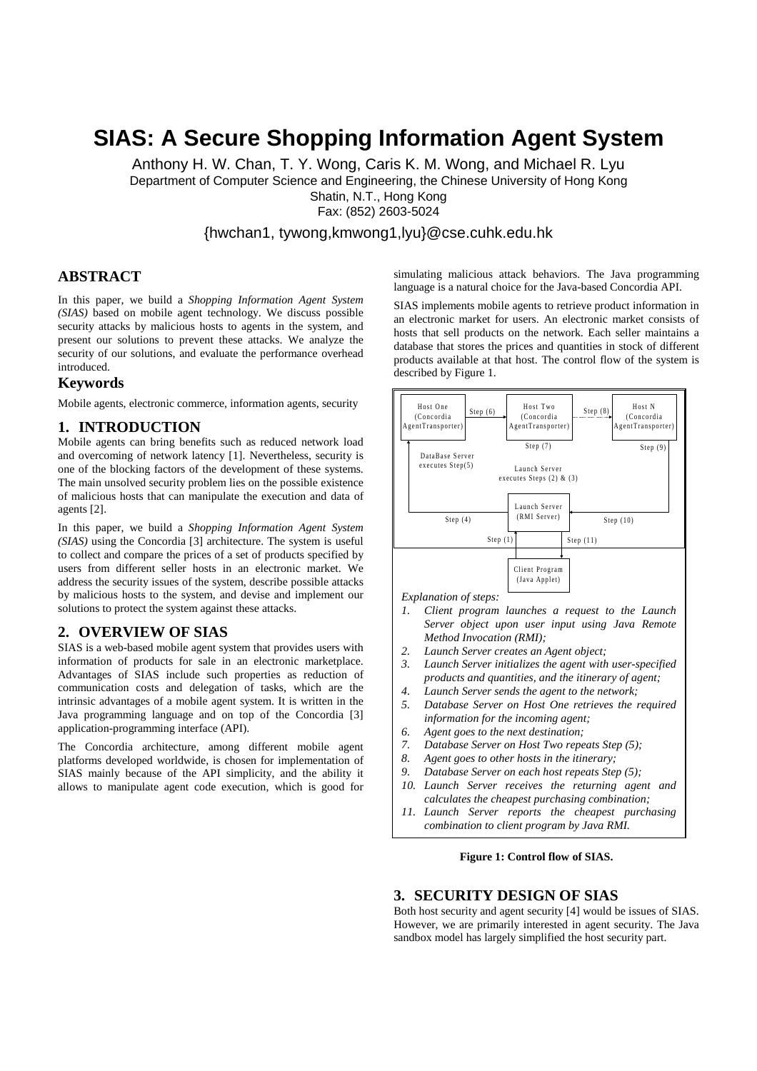# **SIAS: A Secure Shopping Information Agent System**

Anthony H. W. Chan, T. Y. Wong, Caris K. M. Wong, and Michael R. Lyu Department of Computer Science and Engineering, the Chinese University of Hong Kong Shatin, N.T., Hong Kong Fax: (852) 2603-5024

{hwchan1, tywong,kmwong1,lyu}@cse.cuhk.edu.hk

# **ABSTRACT**

In this paper, we build a *Shopping Information Agent System (SIAS)* based on mobile agent technology. We discuss possible security attacks by malicious hosts to agents in the system, and present our solutions to prevent these attacks. We analyze the security of our solutions, and evaluate the performance overhead introduced.

## **Keywords**

Mobile agents, electronic commerce, information agents, security

## **1. INTRODUCTION**

Mobile agents can bring benefits such as reduced network load and overcoming of network latency [1]. Nevertheless, security is one of the blocking factors of the development of these systems. The main unsolved security problem lies on the possible existence of malicious hosts that can manipulate the execution and data of agents [2].

In this paper, we build a *Shopping Information Agent System (SIAS)* using the Concordia [3] architecture. The system is useful to collect and compare the prices of a set of products specified by users from different seller hosts in an electronic market. We address the security issues of the system, describe possible attacks by malicious hosts to the system, and devise and implement our solutions to protect the system against these attacks.

## **2. OVERVIEW OF SIAS**

SIAS is a web-based mobile agent system that provides users with information of products for sale in an electronic marketplace. Advantages of SIAS include such properties as reduction of communication costs and delegation of tasks, which are the intrinsic advantages of a mobile agent system. It is written in the Java programming language and on top of the Concordia [3] application-programming interface (API).

The Concordia architecture, among different mobile agent platforms developed worldwide, is chosen for implementation of SIAS mainly because of the API simplicity, and the ability it allows to manipulate agent code execution, which is good for simulating malicious attack behaviors. The Java programming language is a natural choice for the Java-based Concordia API.

SIAS implements mobile agents to retrieve product information in an electronic market for users. An electronic market consists of hosts that sell products on the network. Each seller maintains a database that stores the prices and quantities in stock of different products available at that host. The control flow of the system is described by Figure 1.



*Explanation of steps:*

- *1. Client program launches a request to the Launch Server object upon user input using Java Remote Method Invocation (RMI);*
- *2. Launch Server creates an Agent object;*
- *3. Launch Server initializes the agent with user-specified products and quantities, and the itinerary of agent;*
- *4. Launch Server sends the agent to the network;*
- *5. Database Server on Host One retrieves the required information for the incoming agent;*
- *6. Agent goes to the next destination;*
- *7. Database Server on Host Two repeats Step (5);*
- *8. Agent goes to other hosts in the itinerary;*
- *9. Database Server on each host repeats Step (5);*
- *10. Launch Server receives the returning agent and calculates the cheapest purchasing combination;*
- *11. Launch Server reports the cheapest purchasing combination to client program by Java RMI.*

#### **Figure 1: Control flow of SIAS.**

#### **3. SECURITY DESIGN OF SIAS**

Both host security and agent security [4] would be issues of SIAS. However, we are primarily interested in agent security. The Java sandbox model has largely simplified the host security part.